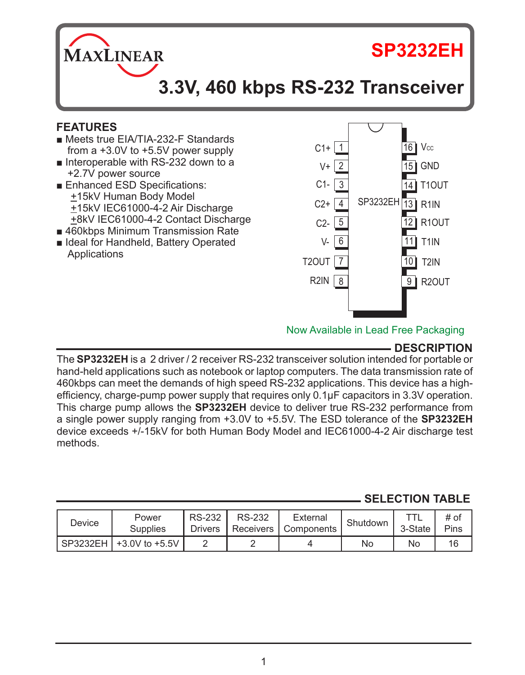**MAXLINEAR** 

# **SP3232EH**

# **3.3V, 460 kbps RS-232 Transceiver**

## **FEATURES**

- Meets true EIA/TIA-232-F Standards from a +3.0V to +5.5V power supply
- Interoperable with RS-232 down to a +2.7V power source
- Enhanced ESD Specifications: +15kV Human Body Model +15kV IEC61000-4-2 Air Discharge +8kV IEC61000-4-2 Contact Discharge
- 460kbps Minimum Transmission Rate
- Ideal for Handheld, Battery Operated **Applications**



Now Available in Lead Free Packaging

# **DESCRIPTION**

The **SP3232EH** is a 2 driver / 2 receiver RS-232 transceiver solution intended for portable or hand-held applications such as notebook or laptop computers. The data transmission rate of 460kbps can meet the demands of high speed RS-232 applications. This device has a highefficiency, charge-pump power supply that requires only 0.1µF capacitors in 3.3V operation. This charge pump allows the **SP3232EH** device to deliver true RS-232 performance from a single power supply ranging from +3.0V to +5.5V. The ESD tolerance of the **SP3232EH** device exceeds +/-15kV for both Human Body Model and IEC61000-4-2 Air discharge test methods.

## **SELECTION TABLE**

| Device | Power<br>Supplies         | <b>RS-232</b><br><b>Drivers</b> | <b>RS-232</b> | External<br>Receivers   Components | Shutdown | 3-State | # of<br>Pins |
|--------|---------------------------|---------------------------------|---------------|------------------------------------|----------|---------|--------------|
|        | SP3232EH   +3.0V to +5.5V |                                 |               |                                    | No       | No      | 16           |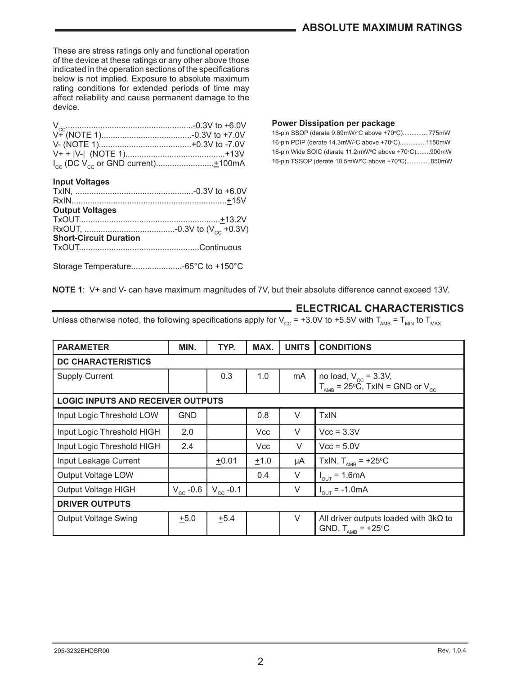These are stress ratings only and functional operation of the device at these ratings or any other above those indicated in the operation sections of the specifications below is not implied. Exposure to absolute maximum rating conditions for extended periods of time may affect reliability and cause permanent damage to the device.

#### **Input Voltages**

| <b>Output Voltages</b>        |  |
|-------------------------------|--|
|                               |  |
|                               |  |
| <b>Short-Circuit Duration</b> |  |
|                               |  |
|                               |  |

#### **Power Dissipation per package**

16-pin SSOP (derate 9.69mW/°C above +70°C)...............775mW 16-pin PDIP (derate 14.3mW/°C above +70°C)..............1150mW 16-pin Wide SOIC (derate 11.2mW/°C above +70°C)........900mW 16-pin TSSOP (derate 10.5mW/°C above +70°C)..............850mW

**NOTE 1**: V+ and V- can have maximum magnitudes of 7V, but their absolute difference cannot exceed 13V.

#### **ELECTRICAL CHARACTERISTICS**

Unless otherwise noted, the following specifications apply for V<sub>CC</sub> = +3.0V to +5.5V with T<sub>AMB</sub> = T<sub>MIN</sub> to T<sub>MAX</sub>

| <b>PARAMETER</b>                         | MIN.          | TYP.          | MAX.       | <b>UNITS</b> | <b>CONDITIONS</b>                                                             |  |  |
|------------------------------------------|---------------|---------------|------------|--------------|-------------------------------------------------------------------------------|--|--|
| <b>DC CHARACTERISTICS</b>                |               |               |            |              |                                                                               |  |  |
| <b>Supply Current</b>                    |               | 0.3           | 1.0        | mA           | no load, $V_{cc}$ = 3.3V,                                                     |  |  |
|                                          |               |               |            |              | $T_{\text{AMB}}$ = 25°C, TxIN = GND or V <sub>cc</sub>                        |  |  |
| <b>LOGIC INPUTS AND RECEIVER OUTPUTS</b> |               |               |            |              |                                                                               |  |  |
| Input Logic Threshold LOW                | <b>GND</b>    |               | 0.8        | $\vee$       | <b>TxIN</b>                                                                   |  |  |
| Input Logic Threshold HIGH               | 2.0           |               | <b>Vcc</b> | $\vee$       | $Vcc = 3.3V$                                                                  |  |  |
| Input Logic Threshold HIGH               | 2.4           |               | Vcc        | $\vee$       | $Vcc = 5.0V$                                                                  |  |  |
| Input Leakage Current                    |               | $+0.01$       | $+1.0$     | μA           | TxIN, $T_{\text{AMB}}$ = +25°C                                                |  |  |
| Output Voltage LOW                       |               |               | 0.4        | V            | $I_{OUT} = 1.6mA$                                                             |  |  |
| Output Voltage HIGH                      | $V_{cc}$ -0.6 | $V_{cc}$ -0.1 |            | ٧            | $= -1.0 \text{mA}$<br>$I_{\text{OUT}}$                                        |  |  |
| <b>DRIVER OUTPUTS</b>                    |               |               |            |              |                                                                               |  |  |
| Output Voltage Swing                     | $+5.0$        | $+5.4$        |            | $\vee$       | All driver outputs loaded with $3k\Omega$ to<br>GND, $T_{\text{AMB}}$ = +25°C |  |  |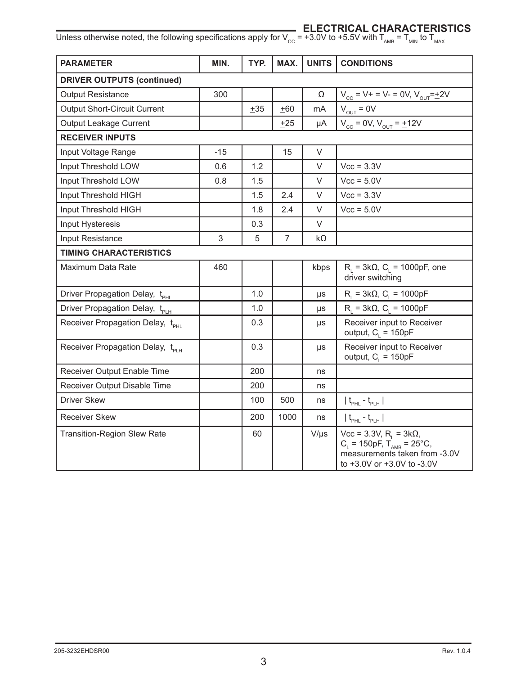#### **ELECTRICAL CHARACTERISTICS**

| <b>PARAMETER</b>                             | MIN.  | TYP.  | MAX.           | <b>UNITS</b> | <b>CONDITIONS</b>                                                                                                                                            |
|----------------------------------------------|-------|-------|----------------|--------------|--------------------------------------------------------------------------------------------------------------------------------------------------------------|
| <b>DRIVER OUTPUTS (continued)</b>            |       |       |                |              |                                                                                                                                                              |
| <b>Output Resistance</b>                     | 300   |       |                | Ω            | $V_{cc} = V + = V - = 0V, V_{OUT} = \pm 2V$                                                                                                                  |
| Output Short-Circuit Current                 |       | $+35$ | $+60$          | mA           | $V_{\text{OUT}} = 0V$                                                                                                                                        |
| Output Leakage Current                       |       |       | $+25$          | μA           | $V_{cc} = 0V, V_{OUT} = \pm 12V$                                                                                                                             |
| <b>RECEIVER INPUTS</b>                       |       |       |                |              |                                                                                                                                                              |
| Input Voltage Range                          | $-15$ |       | 15             | $\vee$       |                                                                                                                                                              |
| Input Threshold LOW                          | 0.6   | 1.2   |                | V            | $Vcc = 3.3V$                                                                                                                                                 |
| Input Threshold LOW                          | 0.8   | 1.5   |                | $\vee$       | $Vcc = 5.0V$                                                                                                                                                 |
| Input Threshold HIGH                         |       | 1.5   | 2.4            | $\vee$       | $Vcc = 3.3V$                                                                                                                                                 |
| Input Threshold HIGH                         |       | 1.8   | 2.4            | V            | $Vcc = 5.0V$                                                                                                                                                 |
| Input Hysteresis                             |       | 0.3   |                | $\vee$       |                                                                                                                                                              |
| Input Resistance                             | 3     | 5     | $\overline{7}$ | kΩ           |                                                                                                                                                              |
| <b>TIMING CHARACTERISTICS</b>                |       |       |                |              |                                                                                                                                                              |
| Maximum Data Rate                            | 460   |       |                | kbps         | $R_1 = 3k\Omega$ , C <sub>1</sub> = 1000pF, one<br>driver switching                                                                                          |
| Driver Propagation Delay, t <sub>PHI</sub>   |       | 1.0   |                | μs           | $R_i = 3k\Omega$ , C <sub>i</sub> = 1000pF                                                                                                                   |
| Driver Propagation Delay, t <sub>PLH</sub>   |       | 1.0   |                | μs           | $R_i = 3k\Omega$ , $C_i = 1000pF$                                                                                                                            |
| Receiver Propagation Delay, t <sub>PHI</sub> |       | 0.3   |                | $\mu s$      | Receiver input to Receiver<br>output, $C_i = 150pF$                                                                                                          |
| Receiver Propagation Delay, t <sub>PH</sub>  |       | 0.3   |                | μs           | Receiver input to Receiver<br>output, $C_i = 150pF$                                                                                                          |
| Receiver Output Enable Time                  |       | 200   |                | ns           |                                                                                                                                                              |
| Receiver Output Disable Time                 |       | 200   |                | ns           |                                                                                                                                                              |
| <b>Driver Skew</b>                           |       | 100   | 500            | ns           | $ t_{\text{PHL}} - t_{\text{PLH}} $                                                                                                                          |
| <b>Receiver Skew</b>                         |       | 200   | 1000           | ns           | $ t_{\text{pH}} - t_{\text{pH}} $                                                                                                                            |
| <b>Transition-Region Slew Rate</b>           |       | 60    |                | $V/\mu s$    | Vcc = 3.3V, R <sub>L</sub> = $3k\Omega$ ,<br>C <sub>L</sub> = 150pF, T <sub>AMB</sub> = 25°C,<br>measurements taken from -3.0V<br>to +3.0V or +3.0V to -3.0V |

Unless otherwise noted, the following specifications apply for V<sub>CC</sub> = +3.0V to +5.5V with T<sub>AMB</sub> = T<sub>MIN</sub> to T<sub>MAX</sub>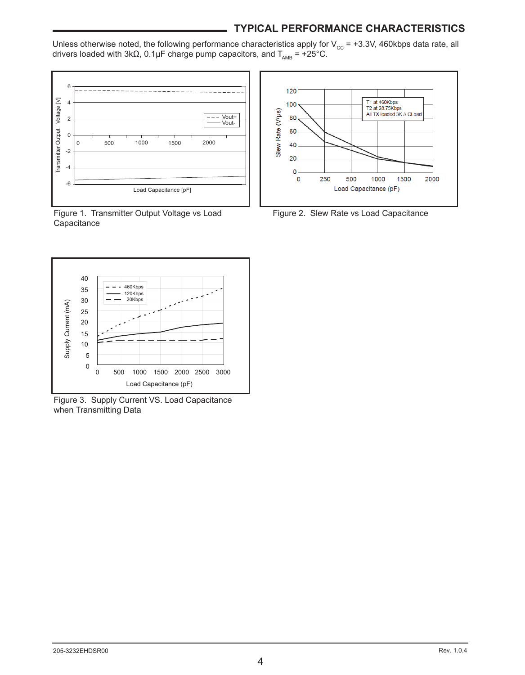### **TYPICAL PERFORMANCE CHARACTERISTICS**

Unless otherwise noted, the following performance characteristics apply for  $\rm V_{\rm cc}$  = +3.3V, 460kbps data rate, all drivers loaded with 3kΩ, 0.1µF charge pump capacitors, and  $T_{_{\sf AMB}}$  = +25°C.



**Capacitance** 



Figure 3. Supply Current VS. Load Capacitance when Transmitting Data



Figure 1. Transmitter Output Voltage vs Load Figure 2. Slew Rate vs Load Capacitance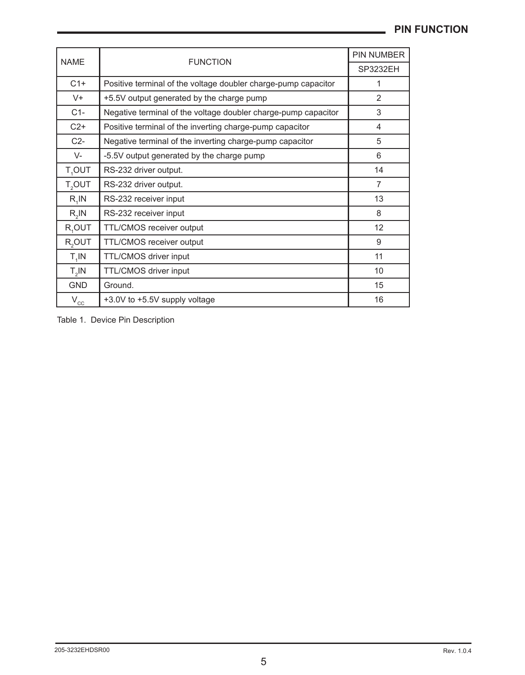#### **Pin Function**

| <b>NAME</b>        | <b>FUNCTION</b>                                                | PIN NUMBER      |
|--------------------|----------------------------------------------------------------|-----------------|
|                    |                                                                | <b>SP3232EH</b> |
| $C1+$              | Positive terminal of the voltage doubler charge-pump capacitor | 1               |
| $V +$              | +5.5V output generated by the charge pump                      | $\overline{2}$  |
| $C1-$              | Negative terminal of the voltage doubler charge-pump capacitor | 3               |
| $C2+$              | Positive terminal of the inverting charge-pump capacitor       | 4               |
| $C2-$              | Negative terminal of the inverting charge-pump capacitor       | 5               |
| V-                 | -5.5V output generated by the charge pump                      | 6               |
| T <sub>4</sub> OUT | RS-232 driver output.                                          | 14              |
| T <sub>2</sub> OUT | RS-232 driver output.                                          | $\overline{7}$  |
| $R_1$ IN           | RS-232 receiver input                                          | 13              |
| $R_2$ IN           | RS-232 receiver input                                          | 8               |
| R <sub>1</sub> OUT | TTL/CMOS receiver output                                       | 12              |
| R <sub>2</sub> OUT | TTL/CMOS receiver output                                       | 9               |
| $T_1$ IN           | TTL/CMOS driver input                                          | 11              |
| $T_{2}$ IN         | TTL/CMOS driver input                                          | 10              |
| <b>GND</b>         | Ground.                                                        | 15              |
| $V_{cc}$           | +3.0V to +5.5V supply voltage                                  | 16              |
|                    |                                                                |                 |

Table 1. Device Pin Description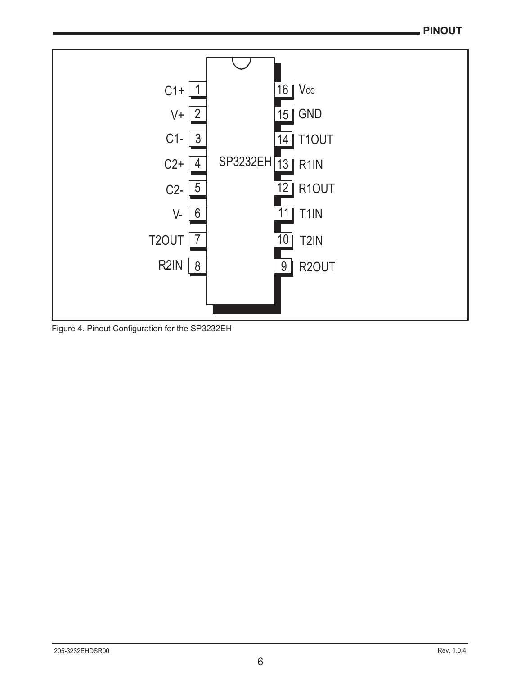

Figure 4. Pinout Configuration for the SP3232EH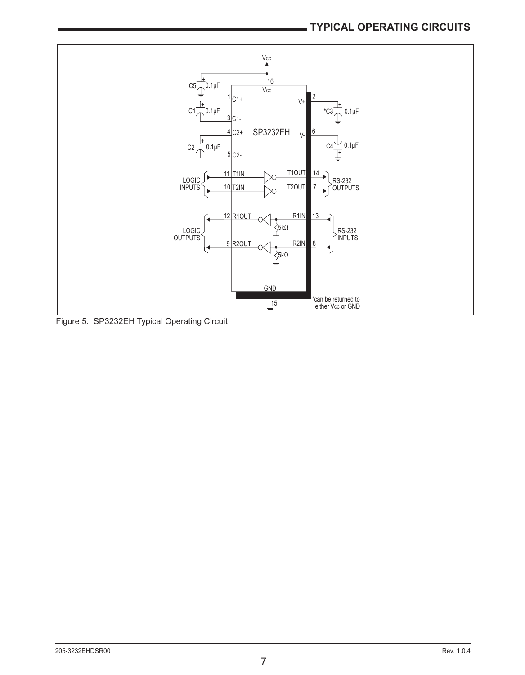

Figure 5. SP3232EH Typical Operating Circuit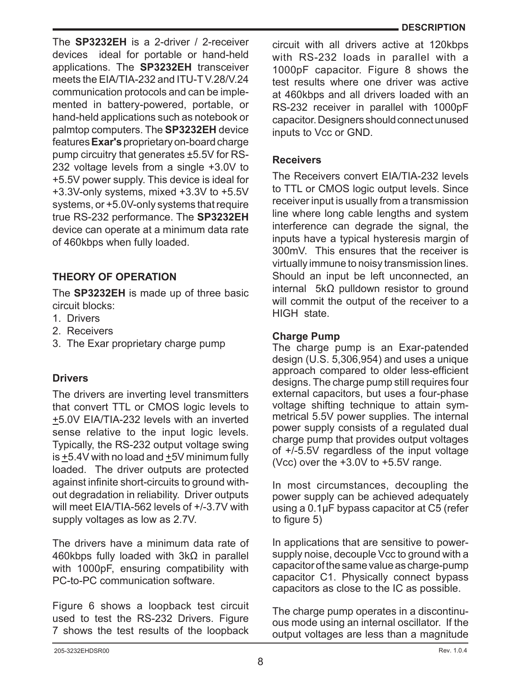The **SP3232EH** is a 2-driver / 2-receiver devices ideal for portable or hand-held applications. The **SP3232EH** transceiver meets the EIA/TIA-232 and ITU-T V.28/V.24 communication protocols and can be implemented in battery-powered, portable, or hand-held applications such as notebook or palmtop computers. The **SP3232EH** device features **Exar's** proprietary on-board charge pump circuitry that generates ±5.5V for RS-232 voltage levels from a single +3.0V to +5.5V power supply. This device is ideal for +3.3V-only systems, mixed +3.3V to +5.5V systems, or +5.0V-only systems that require true RS-232 performance. The **SP3232EH** device can operate at a minimum data rate of 460kbps when fully loaded.

## **THEORY OF OPERATION**

The **SP3232EH** is made up of three basic circuit blocks:

- 1. Drivers
- 2. Receivers
- 3. The Exar proprietary charge pump

### **Drivers**

The drivers are inverting level transmitters that convert TTL or CMOS logic levels to +5.0V EIA/TIA-232 levels with an inverted sense relative to the input logic levels. Typically, the RS-232 output voltage swing is  $\pm$ 5.4V with no load and  $\pm$ 5V minimum fully loaded. The driver outputs are protected against infinite short-circuits to ground without degradation in reliability. Driver outputs will meet EIA/TIA-562 levels of +/-3.7V with supply voltages as low as 2.7V.

The drivers have a minimum data rate of 460kbps fully loaded with 3kΩ in parallel with 1000pF, ensuring compatibility with PC-to-PC communication software.

Figure 6 shows a loopback test circuit used to test the RS-232 Drivers. Figure 7 shows the test results of the loopback circuit with all drivers active at 120kbps with RS-232 loads in parallel with a 1000pF capacitor. Figure 8 shows the test results where one driver was active at 460kbps and all drivers loaded with an RS-232 receiver in parallel with 1000pF capacitor. Designers should connect unused inputs to Vcc or GND.

#### **Receivers**

The Receivers convert EIA/TIA-232 levels to TTL or CMOS logic output levels. Since receiver input is usually from a transmission line where long cable lengths and system interference can degrade the signal, the inputs have a typical hysteresis margin of 300mV. This ensures that the receiver is virtually immune to noisy transmission lines. Should an input be left unconnected, an internal 5kΩ pulldown resistor to ground will commit the output of the receiver to a HIGH state.

#### **Charge Pump**

The charge pump is an Exar-patended design (U.S. 5,306,954) and uses a unique approach compared to older less-efficient designs. The charge pump still requires four external capacitors, but uses a four-phase voltage shifting technique to attain symmetrical 5.5V power supplies. The internal power supply consists of a regulated dual charge pump that provides output voltages of +/-5.5V regardless of the input voltage (Vcc) over the +3.0V to +5.5V range.

In most circumstances, decoupling the power supply can be achieved adequately using a 0.1µF bypass capacitor at C5 (refer to figure 5)

In applications that are sensitive to powersupply noise, decouple Vcc to ground with a capacitor of the same value as charge-pump capacitor C1. Physically connect bypass capacitors as close to the IC as possible.

The charge pump operates in a discontinuous mode using an internal oscillator. If the output voltages are less than a magnitude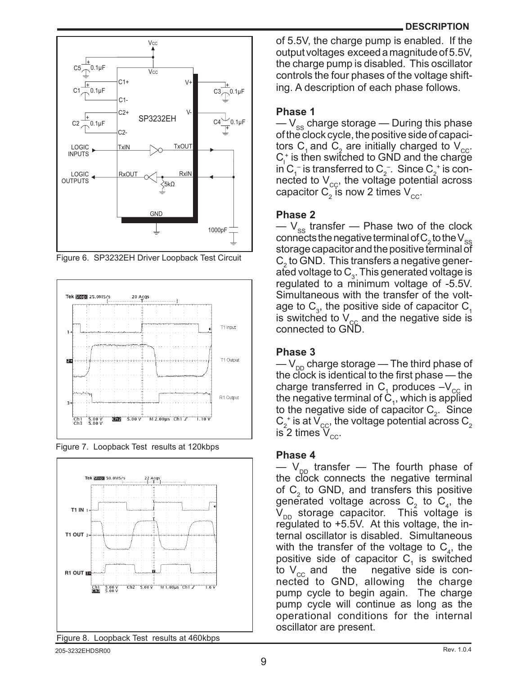



Figure 6. SP3232EH Driver Loopback Test Circuit







of 5.5V, the charge pump is enabled. If the output voltages exceed a magnitude of 5.5V, the charge pump is disabled. This oscillator controls the four phases of the voltage shifting. A description of each phase follows.

#### **Phase 1**

 $-V_{ss}$  charge storage — During this phase of the clock cycle, the positive side of capacitors C<sub>1</sub> and C<sub>2</sub> are initially charged to  $V_{\text{cc}}$ .  $C_1^*$  is then switched to GND and the charge in C<sub>1</sub> is transferred to C<sub>2</sub>. Since C<sub>2</sub><sup>+</sup> is connected to  $V_{cc}$ , the voltage potential across capacitor  $\textsf{C}_2^{}$  is now 2 times  $\textsf{V}_{\rm cc}^{}$ .

#### **Phase 2**

 $-V_{ss}$  transfer — Phase two of the clock connects the negative terminal of  $C_2$  to the  $\vee_{_{\rm SS}}$ storage capacitor and the positive terminal of  $C_2$  to GND. This transfers a negative generated voltage to  $C_3$ . This generated voltage is regulated to a minimum voltage of -5.5V. Simultaneous with the transfer of the voltage to  $C_3$ , the positive side of capacitor  $C_1$ is switched to  $V_{\text{cc}}$  and the negative side is connected to GND.

#### **Phase 3**

 $-V_{\text{on}}$  charge storage — The third phase of the clock is identical to the first phase — the charge transferred in  $C_1$  produces  $-V_{\text{cc}}$  in the negative terminal of  $C_1$ , which is applied to the negative side of capacitor  $C_2$ . Since  $C_2^+$  is at  $V_{\rm GC}$ , the voltage potential across  $C_2^$ is 2 times  $V_{cc}$ .

#### **Phase 4**

 $-V_{\text{DD}}$  transfer — The fourth phase of the clock connects the negative terminal of  $C_2$  to GND, and transfers this positive generated voltage across  $C_2$  to  $C_4$ , the  $V_{\text{DD}}$  storage capacitor. This voltage is regulated to +5.5V. At this voltage, the internal oscillator is disabled. Simultaneous with the transfer of the voltage to  $C_4$ , the positive side of capacitor  $C_1$  is switched to  $V_{cc}$  and the negative side is connected to GND, allowing the charge pump cycle to begin again. The charge pump cycle will continue as long as the operational conditions for the internal oscillator are present.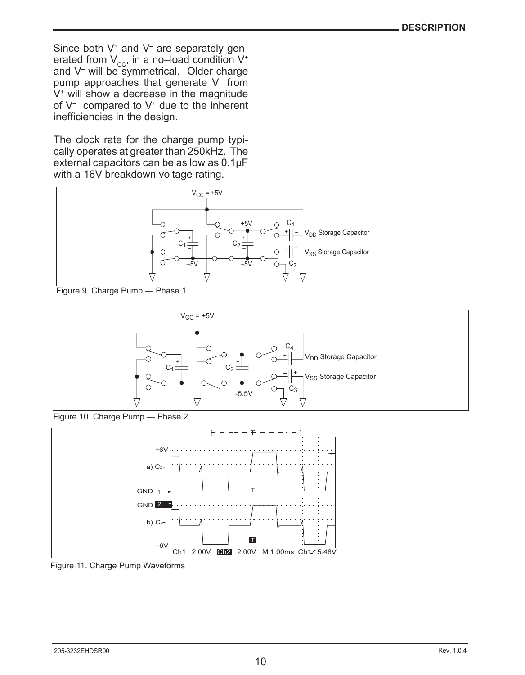Since both V<sup>+</sup> and V<sup>-</sup> are separately generated from  $V_{cc}$ , in a no–load condition  $V^*$ and V– will be symmetrical. Older charge pump approaches that generate V– from  $V<sup>+</sup>$  will show a decrease in the magnitude of V– compared to V+ due to the inherent inefficiencies in the design.

The clock rate for the charge pump typically operates at greater than 250kHz. The external capacitors can be as low as 0.1µF with a 16V breakdown voltage rating.







Figure 10. Charge Pump — Phase 2



Figure 11. Charge Pump Waveforms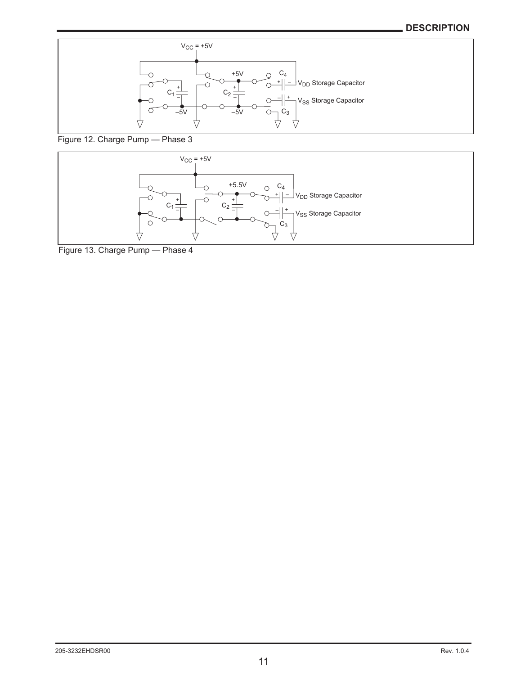#### **DESCRIPTION**



Figure 12. Charge Pump - Phase 3



Figure 13. Charge Pump — Phase 4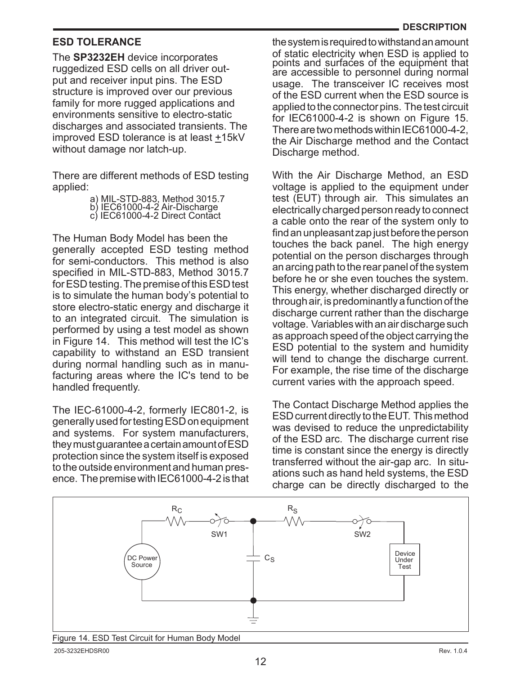#### **ESD Tolerance**

The **SP3232EH** device incorporates ruggedized ESD cells on all driver output and receiver input pins. The ESD structure is improved over our previous family for more rugged applications and environments sensitive to electro-static discharges and associated transients. The improved ESD tolerance is at least  $±15kV$ without damage nor latch-up.

There are different methods of ESD testing applied:

|                               | a) MIL-STD-883, Method 3015.7  |
|-------------------------------|--------------------------------|
| b) IEC61000-4-2 Air-Discharge |                                |
|                               | c) IEC61000-4-2 Direct Contact |

The Human Body Model has been the generally accepted ESD testing method for semi-conductors. This method is also specified in MIL-STD-883, Method 3015.7 for ESD testing. The premise of this ESD test is to simulate the human body's potential to store electro-static energy and discharge it to an integrated circuit. The simulation is performed by using a test model as shown in Figure 14. This method will test the IC's capability to withstand an ESD transient during normal handling such as in manufacturing areas where the IC's tend to be handled frequently.

The IEC-61000-4-2, formerly IEC801-2, is generally used for testing ESD on equipment and systems. For system manufacturers, they must guarantee a certain amount of ESD protection since the system itself is exposed to the outside environment and human presence. The premise with IEC61000-4-2 is that the system is required to withstand an amount<br>of static electricity when ESD is applied to points and surfaces of the equipment that are accessible to personnel during normal usage. The transceiver IC receives most of the ESD current when the ESD source is applied to the connector pins. The test circuit for IEC61000-4-2 is shown on Figure 15. There are two methods within IEC61000-4-2, the Air Discharge method and the Contact Discharge method.

With the Air Discharge Method, an ESD voltage is applied to the equipment under test (EUT) through air. This simulates an electrically charged person ready to connect a cable onto the rear of the system only to find an unpleasant zap just before the person touches the back panel. The high energy potential on the person discharges through an arcing path to the rear panel of the system before he or she even touches the system. This energy, whether discharged directly or through air, is predominantly a function of the discharge current rather than the discharge voltage. Variables with an air discharge such as approach speed of the object carrying the ESD potential to the system and humidity will tend to change the discharge current. For example, the rise time of the discharge current varies with the approach speed.

The Contact Discharge Method applies the ESD current directly to the EUT. This method was devised to reduce the unpredictability of the ESD arc. The discharge current rise time is constant since the energy is directly transferred without the air-gap arc. In situations such as hand held systems, the ESD charge can be directly discharged to the



Figure 14. ESD Test Circuit for Human Body Model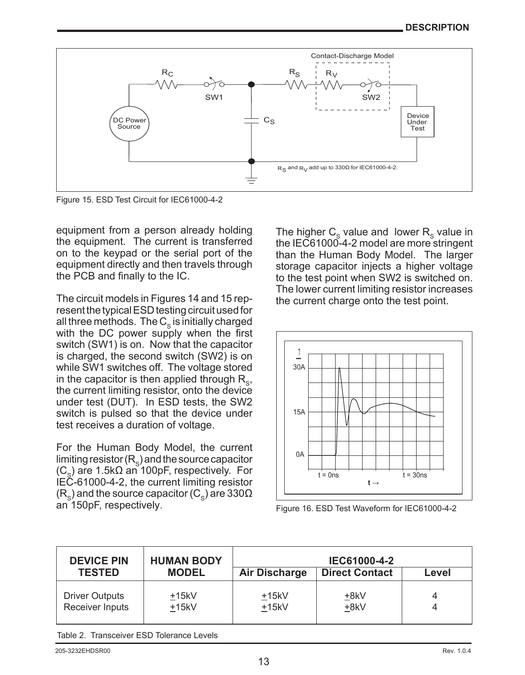

Figure 15. ESD Test Circuit for IEC61000-4-2

equipment from a person already holding the equipment. The current is transferred on to the keypad or the serial port of the equipment directly and then travels through the PCB and finally to the IC.

The circuit models in Figures 14 and 15 represent the typical ESD testing circuit used for all three methods. The  $C_s$  is initially charged with the DC power supply when the first switch (SW1) is on. Now that the capacitor is charged, the second switch (SW2) is on while SW1 switches off. The voltage stored in the capacitor is then applied through  $R_{\rm s}$ , the current limiting resistor, onto the device under test (DUT). In ESD tests, the SW2 switch is pulsed so that the device under test receives a duration of voltage.

For the Human Body Model, the current limiting resistor  $(R_{\rm s})$  and the source capacitor  $(C_{\circ})$  are 1.5k $\Omega$  an 100pF, respectively. For IEC-61000-4-2, the current limiting resistor (R<sub>S</sub>) and the source capacitor (C<sub>S</sub>) are 330 $\Omega$ <br>an 150pF, respectively. The higher  $C_s$  value and lower  $R_s$  value in the IEC61000-4-2 model are more stringent than the Human Body Model. The larger storage capacitor injects a higher voltage to the test point when SW2 is switched on. The lower current limiting resistor increases the current charge onto the test point.



Figure 16. ESD Test Waveform for IEC61000-4-2

| <b>DEVICE PIN</b><br><b>TESTED</b> | <b>HUMAN BODY</b><br><b>MODEL</b> | Air Discharge | IEC61000-4-2<br><b>Direct Contact</b> | Level |
|------------------------------------|-----------------------------------|---------------|---------------------------------------|-------|
| <b>Driver Outputs</b>              | $+15kV$                           | $+15kV$       | +8kV                                  | 4     |
| Receiver Inputs                    | $+15kV$                           | $+15kV$       | +8kV                                  |       |

Table 2. Transceiver ESD Tolerance Levels

Rev. 1.0.4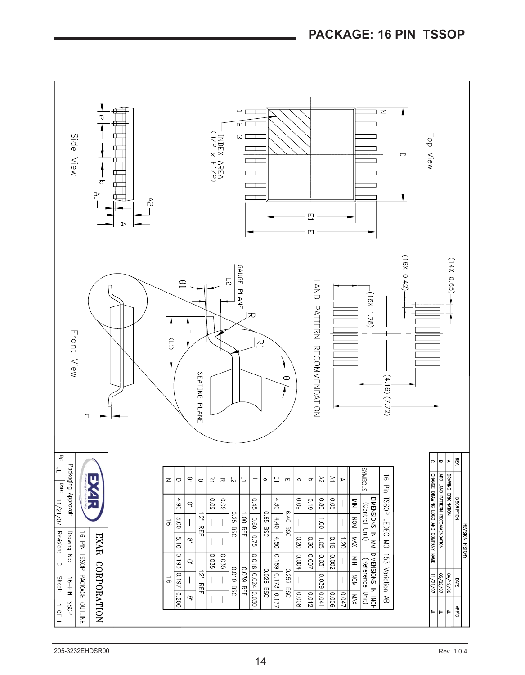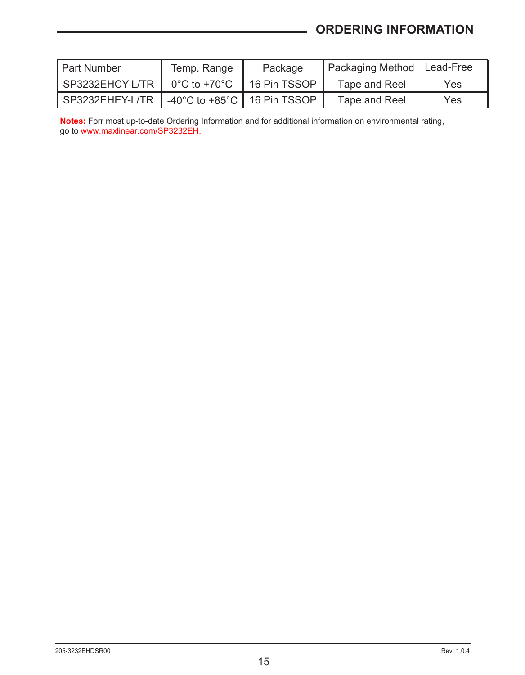# **ORDERING INFORMATION**

| I Part Number   | Temp. Range                                         | Package      | Packaging Method   Lead-Free |      |
|-----------------|-----------------------------------------------------|--------------|------------------------------|------|
| SP3232EHCY-L/TR | $0^{\circ}$ C to +70 $^{\circ}$ C                   | 16 Pin TSSOP | Tape and Reel                | Yes. |
| SP3232EHEY-L/TR | -40 $^{\circ}$ C to +85 $^{\circ}$ C   16 Pin TSSOP |              | Tape and Reel                | Yes. |

**Notes:** Forr most up-to-date Ordering Information and for additional information on environmental rating, go to www.maxlinear.com/SP3232EH.